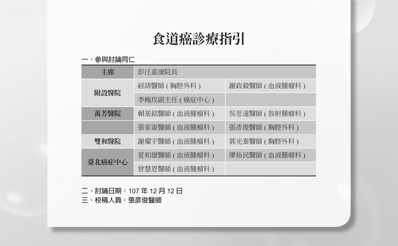# 食道癌診療指引

#### **一、參與討論同仁**

| 丰席     | 彭汪嘉康院長          |                 |
|--------|-----------------|-----------------|
| 附設醫院   | 禚靖醫師 ( 胸腔外科 )   | 謝政毅醫師 ( 血液腫瘤科 ) |
|        | 李婉玫副主任 ( 癌症中心 ) |                 |
| 萬芳醫院   | 賴基銘醫師 ( 血液腫瘤科 ) | 吳思遠醫師 ( 放射腫瘤科 ) |
|        | 張家崙醫師 ( 血液腫瘤科 ) | 張彥俊醫師 ( 胸腔外科 )  |
| 雙和醫院   | 謝燿宇醫師 ( 血液腫瘤科 ) | 郭光泰醫師 ( 胸腔外科 )  |
| 臺北癌症中心 | 夏和雄醫師 (血液腫瘤科)   | 廖裕民醫師 (血液腫瘤科)   |
|        | 曾慧恩醫師 (血液腫瘤科)   |                 |

**二、討論日期:**107 **年** 12 **月** 12 **日**

**三、校稿人員:張彥俊醫師**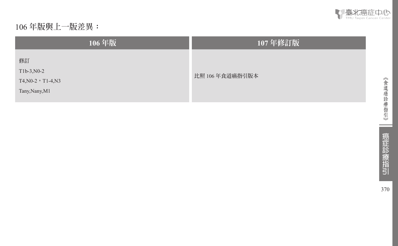

# 106 **年版與上一版差異:**

| 106年版                                                          | 107年修訂版        |  |
|----------------------------------------------------------------|----------------|--|
| 修訂<br>$T1b-3, N0-2$<br>$T4, N0-2$ , T1-4, N3<br>Tany, Nany, M1 | 比照 106年食道癌指引版本 |  |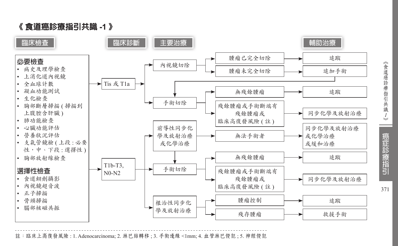《 食道癌診療指引共識 **-1** 》



註:臨床上高復發風險 : 1. Adenocarcinoma; 2. 淋巴結轉移 ; 3. 手術邊緣 <1mm; 4. 血管淋巴侵犯 ; 5. 神經侵犯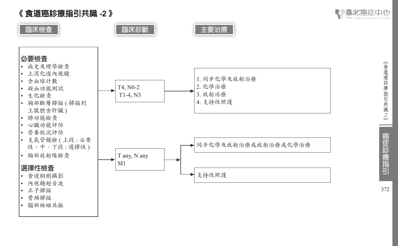《 食道癌診療指引共識 **-2**  》

• 腦部核磁共振



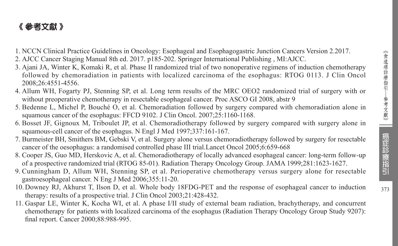# 《 參考文獻 》

- 1. NCCN Clinical Practice Guidelines in Oncology: Esophageal and Esophagogastric Junction Cancers Version 2.2017.
- 2. AJCC Cancer Staging Manual 8th ed. 2017. p185-202. Springer International Publishing , MI:AJCC.
- 3. Ajani JA, Winter K, Komaki R, et al. Phase II randomized trial of two nonoperative regimens of induction chemotherapy followed by chemoradiation in patients with localized carcinoma of the esophagus: RTOG 0113. J Clin Oncol 2008;26:4551-4556.
- 4. Allum WH, Fogarty PJ, Stenning SP, et al. Long term results of the MRC OEO2 randomized trial of surgery with or without preoperative chemotherapy in resectable esophageal cancer. Proc ASCO GI 2008, abstr 9
- 5. Bedenne L, Michel P, Bouché O, et al. Chemoradiation followed by surgery compared with chemoradiation alone in squamous cancer of the esophagus: FFCD 9102. J Clin Oncol. 2007;25:1160-1168.
- 6. Bosset JF, Gignoux M, Triboulet JP, et al. Chemoradiotherapy followed by surgery compared with surgery alone in squamous-cell cancer of the esophagus. N Engl J Med 1997;337:161-167.
- 7. Burmeister BH, Smithers BM, Gebski V, et al. Surgery alone versus chemoradiotherapy followed by surgery for resectable cancer of the oesophagus: a randomised controlled phase III trial.Lancet Oncol 2005;6:659-668
- 8. Cooper JS, Guo MD, Herskovic A, et al. Chemoradiotherapy of locally advanced esophageal cancer: long-term follow-up of a prospective randomized trial (RTOG 85-01). Radiation Therapy Oncology Group. JAMA 1999;281:1623-1627.
- 9. Cunningham D, Allum WH, Stenning SP, et al. Perioperative chemotherapy versus surgery alone for resectable gastroesophageal cancer. N Eng J Med 2006;355:11-20.
- 10. Downey RJ, Akhurst T, Ilson D, et al. Whole body 18FDG-PET and the response of esophageal cancer to induction therapy: results of a prospective trial. J Clin Oncol 2003;21:428-432.
- 11. Gaspar LE, Winter K, Kocha WI, et al. A phase I/II study of external beam radiation, brachytherapy, and concurrent chemotherapy for patients with localized carcinoma of the esophagus (Radiation Therapy Oncology Group Study 9207): final report. Cancer 2000;88:988-995.

癌症診療指引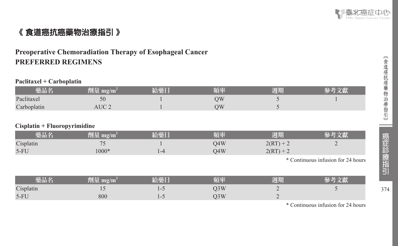

# 《 食道癌抗癌藥物治療指引 》

# **Preoperative Chemoradiation Therapy of Esophageal Cancer PREFERRED REGIMENS**

#### **Paclitaxel + Carboplatin**

| 藥品名         | 劑量 mg/m | 給藥日 | 頻率 | 週期 |  |
|-------------|---------|-----|----|----|--|
| Paclitaxel  | 50      |     | УC |    |  |
| Carboplatin | AUC     |     | ЭW |    |  |

#### **Cisplatin + Fluoropyrimidine**

| 藥品名       | 劑量 mg/m' | 給藥日 | 陌率  | 週期          |  |
|-----------|----------|-----|-----|-------------|--|
| Cisplatin |          |     | 04W | $2(RT) + 2$ |  |
| $5-FU$    | $000*$   |     | O4W | $2(RT) + 2$ |  |

\* Continuous infusion for 24 hours

| 藥品名       | mg/m<br>TILE | 拓丞 | 週期 |  |
|-----------|--------------|----|----|--|
| Cisplatin |              | 3W |    |  |
| $5-FU$    | 800          | 3W |    |  |

\* Continuous infusion for 24 hours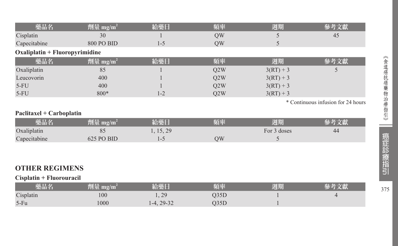| 藥品名                            | 劑量 mg/m <sup>2</sup> | 給藥日        | 頻率   | 週期          | 參考文獻                               |
|--------------------------------|----------------------|------------|------|-------------|------------------------------------|
| Cisplatin                      | 30                   |            | QW   | 5           | 45                                 |
| Capecitabine                   | <b>800 PO BID</b>    | $1 - 5$    | QW   | 5           |                                    |
| Oxaliplatin + Fluoropyrimidine |                      |            |      |             |                                    |
| 藥品名                            | 齊量 mg/ $m^2$         | 給藥日        | 頻率   | 週期          | 參考文獻                               |
| Oxaliplatin                    | 85                   |            | Q2W  | $3(RT) + 3$ | 5                                  |
| Leucovorin                     | 400                  |            | Q2W  | $3(RT) + 3$ |                                    |
| $5-FU$                         | 400                  |            | Q2W  | $3(RT) + 3$ |                                    |
| $5-FU$                         | 800*                 | $1 - 2$    | Q2W  | $3(RT) + 3$ |                                    |
|                                |                      |            |      |             | * Continuous infusion for 24 hours |
| Paclitaxel + Carboplatin       |                      |            |      |             |                                    |
| 藥品名                            | 劑量 mg/m <sup>2</sup> | 給藥日        | 頻率   | 週期          | 參考文獻                               |
| Oxaliplatin                    | 85                   | 1, 15, 29  |      | For 3 doses | 44                                 |
| Capecitabine                   | 625 PO BID           | $1 - 5$    | QW   | 5           |                                    |
|                                |                      |            |      |             |                                    |
|                                |                      |            |      |             |                                    |
| <b>OTHER REGIMENS</b>          |                      |            |      |             |                                    |
| Cisplatin + Fluorouracil       |                      |            |      |             |                                    |
| 藥品名                            | 劑量 $mg/m^2$          | 給藥日        | 頻率   | 週期          | 參考文獻                               |
| Cisplatin                      | 100                  | 1, 29      | Q35D |             | 4                                  |
| $5-Fu$                         | 1000                 | 1-4, 29-32 | Q35D |             |                                    |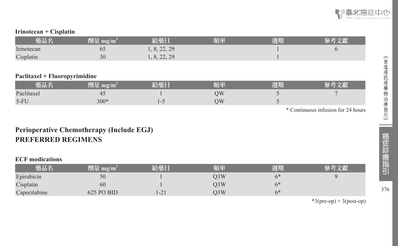

#### **Irinotecan + Cisplatin**

| 樂品名        | 劑量 mg/m | 給藥日       | 頃率 | 週期 |  |
|------------|---------|-----------|----|----|--|
| Irinotecan | ნა      | 8, 22, 29 |    |    |  |
| Cisplatin  | 30      | 8, 22, 29 |    |    |  |

#### **Paclitaxel + Fluoropyrimidine**

| 楽品名        | $\mathbf{m}\mathbf{g}/\mathbf{m}$ | 拓交 | 週期 |  |
|------------|-----------------------------------|----|----|--|
| Paclitaxel | 4<br>$\sim$                       | УC |    |  |
| $5-FU$     | $300*$                            | ЭW |    |  |

\* Continuous infusion for 24 hours

# **Perioperative Chemotherapy (Include EGJ) PREFERRED REGIMENS**

#### **ECF modications**

| 藥品名          | 劑量 mg/m <sup>2</sup> | 給藥日  | 頻率  | 週期   |  |
|--------------|----------------------|------|-----|------|--|
| Epirubicin   | 50                   |      | )3W | $6*$ |  |
| Cisplatin    | 60                   |      | )3W | $6*$ |  |
| Capecitabine | $625$ PO BID         | 1-21 | D3W | $6*$ |  |

 $*3$ (pre-op) + 3(post-op)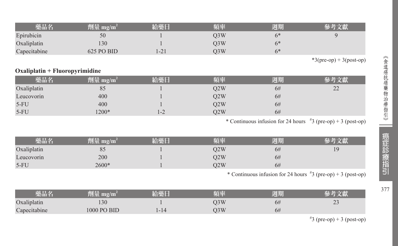| 藥品名          | 劑量 mg/m <sup>2</sup> | 給藥日  | 頻率  | 週期   | 參考文獻 |
|--------------|----------------------|------|-----|------|------|
| Epirubicin   | 50                   |      | )3W | $6*$ |      |
| Oxaliplatin  | 30                   |      | )3W | $6*$ |      |
| Capecitabine | 625 PO BID           | 1-21 | )3W | $6*$ |      |

 $*3(pre-op) + 3(post-op)$ 

#### **Oxaliplatin + Fluoropyrimidine**

| 藥品名         | 劑量 mg/m $^{\rm 2}$ | 給藥日 | 頻率  | 週期 |              |
|-------------|--------------------|-----|-----|----|--------------|
| Oxaliplatin | 85                 |     | O2W | 6# | $\cap$<br>∸∸ |
| Leucovorin  | 400                |     | 02W | 6# |              |
| $5-FU$      | 400                |     | O2W | 6# |              |
| $5-FU$      | 1200*              | 1-2 | 02W | 6# |              |

\* Continuous infusion for 24 hours  $\frac{4}{3}$  (pre-op) + 3 (post-op)

| 藥品名         | 劑量 mg/m $^{\rm 2}$ | 給藥日 | 頻率  | 週期 |     |
|-------------|--------------------|-----|-----|----|-----|
| Oxaliplatin | ΟJ                 |     | 02W | 6# | 1 Q |
| Leucovorin  | 200                |     | Q2W | 6# |     |
| $5-FU$      | $2600*$            |     | )2W | 6# |     |

\* Continuous infusion for 24 hours  $\frac{4}{3}$  (pre-op) + 3 (post-op)

| 藥品名          | 11H<br>$\mathbf{m}$ g/ $\mathbf{m}$ | <b>CALL AND STATE</b> | 頃率  | 週期 |                |
|--------------|-------------------------------------|-----------------------|-----|----|----------------|
| Oxaliplatin  | 130                                 |                       | O3W | 0# | $\sim$<br>ت سک |
| Capecitabine | 1000 PO BID                         |                       | O3W | 6# |                |

 $*3$  (pre-op) + 3 (post-op)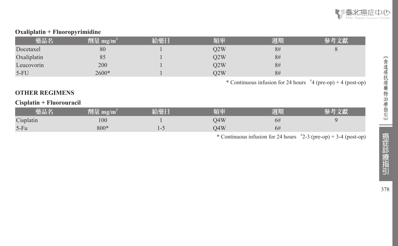

#### **Oxaliplatin + Fluoropyrimidine**

| 藥品名         | ___<br>劑量 mg/m <sup>2</sup> | 給藥日 | 頻率  | 週期 |  |
|-------------|-----------------------------|-----|-----|----|--|
| Docetaxel   | 80                          |     | O2W | 8# |  |
| Oxaliplatin | 85                          |     | O2W | 8# |  |
| Leucovorin  | 200                         |     | O2W | 8# |  |
| $5-FU$      | 2600*                       |     | O2W | 8# |  |

\* Continuous infusion for 24 hours  $*4$  (pre-op) + 4 (post-op)

#### **OTHER REGIMENS**

#### **Cisplatin + Fluorouracil**

| 藥品名       | 781 L.C<br>劑軍 mg/m <sup>-</sup> | 給藥日 | 頃率                    | 週期 |  |
|-----------|---------------------------------|-----|-----------------------|----|--|
| Cisplatin | 100                             |     | $\mathbf{A}$ W<br>י ד | 6# |  |
| $5-Fu$    | $800*$                          |     | )4W                   | 6# |  |

\* Continuous infusion for 24 hours  $\frac{1}{2}$ -3 (pre-op) + 3-4 (post-op)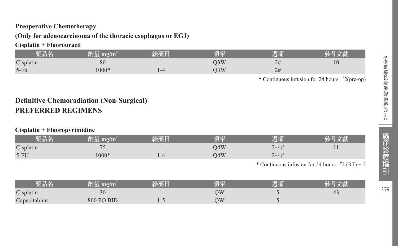#### **Preoperative Chemotherapy**

#### **(Only for adenocarcinoma of the thoracic esophagus or EGJ)**

## **Cisplatin + Fluorouracil**

| 藥品名       | 劑量 mg/m' | 給藥日 | 百本  | 週期 |    |
|-----------|----------|-----|-----|----|----|
| Cisplatin | 80       |     | O3W | 2# | 10 |
| $5-Fu$    | $1000*$  |     | O3W | 2# |    |

\* Continuous infusion for 24 hours # 2(pre-op)

# **Definitive Chemoradiation (Non-Surgical) PREFERRED REGIMENS**

#### **Cisplatin + Fluoropyrimidine**

| 藥品名          | 劑量 mg/m <sup>2</sup> | 給藥日 | 頻率  | 週期         | 參考文獻                                                      |
|--------------|----------------------|-----|-----|------------|-----------------------------------------------------------|
| Cisplatin    | 75                   |     | O4W | $2 - 4 \#$ |                                                           |
| $5-FU$       | 1000*                | 1-4 | O4W | $2 - 4 \#$ |                                                           |
|              |                      |     |     |            | * Continuous infusion for 24 hours $\frac{4}{7}$ (RT) + 2 |
| 藥品名          | 劑量 mg/m <sup>2</sup> | 給藥日 | 頻率  | 週期         | 參考文獻                                                      |
| Cisplatin    | 30                   |     | QW  |            | 43                                                        |
| Capecitabine | 800 PO BID           | 1-5 | QW  |            |                                                           |

379

a a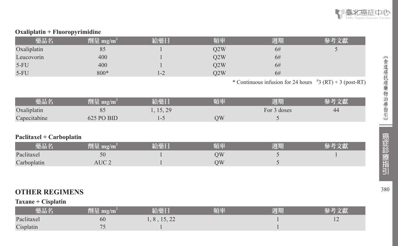

#### **Oxaliplatin + Fluoropyrimidine**

| 藥品名         | 劑量 mg/m $^{\rm 2}$ | 給藥口     | 頻率  | 週期 |  |
|-------------|--------------------|---------|-----|----|--|
| Oxaliplatin | 85                 |         | O2W | 6# |  |
| Leucovorin  | 400                |         | Q2W | 6# |  |
| $5-FU$      | 400                |         | O2W | 6# |  |
| $5-FU$      | 800*               | $1 - 2$ | 02W | 6# |  |

\* Continuous infusion for 24 hours  $\frac{4}{3}$  (RT) + 3 (post-RT)

| 藥品名          | mg/m<br>TIER.  | 必盡口<br><b>TANK AND</b> | 陌奉 | 週期          |    |
|--------------|----------------|------------------------|----|-------------|----|
| Oxaliplatin  | 8 <sup>2</sup> | 15, 29                 |    | For 3 doses | 44 |
| Capecitabine | 625 PO BID     |                        | ЭW |             |    |

#### **Paclitaxel + Carboplatin**

| 欒品名         | mg/m  | 給藥厂 | ほんぷ | 週期 |  |
|-------------|-------|-----|-----|----|--|
| Paclitaxel  | 50    |     | ЭW  |    |  |
| Carboplatin | AUC 2 |     | ЭW  |    |  |

## **OTHER REGIMENS**

#### **Taxane + Cisplatin**

| 藥品名        | 劑量 mg/m <sup>-</sup> | 給藥日       | 頻率 | 週期 |     |
|------------|----------------------|-----------|----|----|-----|
| Paclitaxel | 60                   | 8, 15, 22 |    |    | - ⊥ |
| Cisplatin  |                      |           |    |    |     |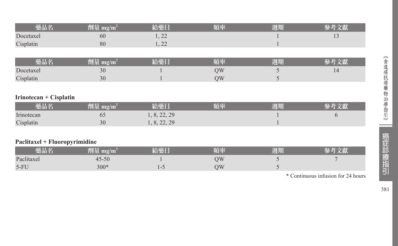| 藥品名                           | 劑量 mg/m <sup>2</sup>           | 給藥日          | 頻率 | 週期 | 參考文獻 |
|-------------------------------|--------------------------------|--------------|----|----|------|
| Docetaxel                     | 60                             | 1, 22        |    |    | 13   |
| Cisplatin                     | 80                             | 1, 22        |    |    |      |
|                               |                                |              |    |    |      |
| 藥品名                           | 劑量 mg/m <sup>2</sup>           | 給藥日          | 頻率 | 週期 | 參考文獻 |
| Docetaxel                     | 30                             |              | QW | 5  | 14   |
| Cisplatin                     | 30                             |              | QW | 5  |      |
|                               |                                |              |    |    |      |
| Irinotecan + Cisplatin        |                                |              |    |    |      |
| 藥品名                           | $\sqrt{m}$ 量 mg/m <sup>2</sup> | 給藥日          | 頻率 | 週期 | 參考文獻 |
| Irinotecan                    | 65                             | 1, 8, 22, 29 |    |    | 6    |
| Cisplatin                     | 30                             | 1, 8, 22, 29 |    |    |      |
|                               |                                |              |    |    |      |
| Paclitaxel + Fluoropyrimidine |                                |              |    |    |      |
| 藥品名                           | 劑量 mg/m <sup>2</sup>           | 給藥日          | 頻率 | 週期 | 參考文獻 |
| Paclitaxel                    | $45 - 50$                      |              | QW | 5  |      |
| $5-FU$                        | $300*$                         | $1 - 5$      | QW | 5  |      |

\* Continuous infusion for 24 hours

癌症診療指引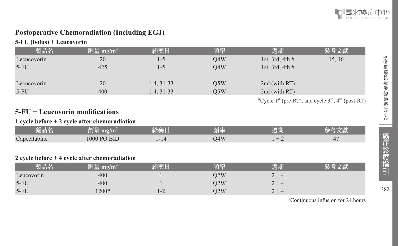

# **Postoperative Chemoradiation (Including EGJ)**

#### **5-FU (bolus) + Leucovorin**

| 藥品名         | 劑量 mg/m <sup>2</sup> | 給藥日          | 頻率  | 週期                | 參考文獻                                                                                     |
|-------------|----------------------|--------------|-----|-------------------|------------------------------------------------------------------------------------------|
| Lecucovorin | 20                   | 1-5          | O4W | 1st, 3rd, 4th $#$ | 15, 46                                                                                   |
| $5-FU$      | 425                  | 1-5          | O4W | 1st, 3rd, 4th $#$ |                                                                                          |
|             |                      |              |     |                   |                                                                                          |
| Lecucovorin | 20                   | $1-4, 31-33$ | O5W | 2nd (with RT)     |                                                                                          |
| $5-FU$      | 400                  | $1-4, 31-33$ | O5W | 2nd (with RT)     |                                                                                          |
|             |                      |              |     |                   | <sup>#</sup> Cycle 1 <sup>st</sup> (pre-RT), and cycle $3rd$ , 4 <sup>th</sup> (post-RT) |

# **5-FU + Leucovorin modifications**

#### **1 cycle before + 2 cycle after chemoradiation**

| _____<br>哭而名 | ____<br>$m$ g/m<br>.    | <b>Colder Inc.</b><br>1 G M A<br><b>COMPANY</b> | 第一次の | <b>CALL OF BUILDING</b><br>WHIL.<br>半收入 |   |
|--------------|-------------------------|-------------------------------------------------|------|-----------------------------------------|---|
| Capecitabine | $1000$ PC<br><b>BID</b> | $-14$<br>.                                      | O4W  | -                                       | ↵ |

#### **2 cycle before + 4 cycle after chemoradiation**

| 藥品名        | 劑量 mg/m $^2$ | 給藥日     | 頻率  | 週期                      |  |
|------------|--------------|---------|-----|-------------------------|--|
| Leucovorin | 400          |         | D2W | $2 +$<br>$\overline{4}$ |  |
| $5-FU$     | 400          |         | )2W | $2 +$<br>$\rightarrow$  |  |
| $5-FU$     | $1200*$      | $1 - 2$ | O2W | ำ ⊥.<br>$\overline{4}$  |  |

# Continuous infusion for 24 hours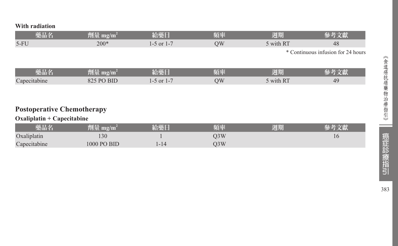**With radiation**

| 藥品名                               | 劑量 mg/m <sup>2</sup>         | 給藥日            | 頻率 | 週期        | 參考文獻                               |
|-----------------------------------|------------------------------|----------------|----|-----------|------------------------------------|
| $5-FU$                            | $200*$                       | $1-5$ or $1-7$ | QW | 5 with RT | 48                                 |
|                                   |                              |                |    |           | * Continuous infusion for 24 hours |
|                                   |                              |                |    |           |                                    |
| 藥品名                               | 劑量 mg/m <sup>2</sup>         | 給藥日            | 頻率 | 週期        | 參考文獻                               |
| Capecitabine                      | 825 PO BID                   | $1-5$ or $1-7$ | QW | 5 with RT | 49                                 |
|                                   |                              |                |    |           |                                    |
|                                   |                              |                |    |           |                                    |
| <b>Postoperative Chemotherapy</b> |                              |                |    |           |                                    |
| $Oxaliplatin + Capecitabine$      |                              |                |    |           |                                    |
| 靈具夕                               | $\hat{m}$ = $m_{\alpha}/m^2$ | 经盡口            | 脳索 | 调相        | 哀老立辭                               |

| 藥品名          | $\mathbf{m}$ g/ $\mathbf{m}$<br>en lib | 給藥日    | 頻率  | 週期 |    |
|--------------|----------------------------------------|--------|-----|----|----|
| Oxaliplatin  | 130                                    |        | O3W |    | 10 |
| Capecitabine | 1000 PO BID                            | l - 14 | O3W |    |    |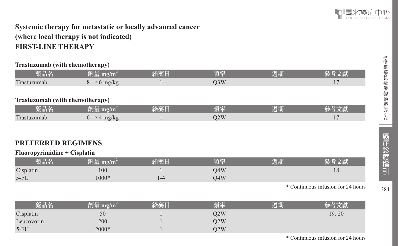

# **Systemic therapy for metastatic or locally advanced cancer (where local therapy is not indicated) FIRST-LINE THERAPY**

#### **Trastuzumab (with chemotherapy)**

| 藥品名                             | 劑量 mg/m <sup>2</sup>    | 給藥日     | 頻率               | 週期 | 參考文獻                               |
|---------------------------------|-------------------------|---------|------------------|----|------------------------------------|
| Trastuzumab                     | $8 \rightarrow 6$ mg/kg | 1       | Q <sub>3</sub> W |    | 17                                 |
|                                 |                         |         |                  |    |                                    |
| Trastuzumab (with chemotherapy) |                         |         |                  |    |                                    |
| 藥品名                             | 劑量 mg/m <sup>2</sup>    | 給藥日     | 頻率               | 週期 | 參考文獻                               |
| Trastuzumab                     | $6 \rightarrow 4$ mg/kg | 1       | Q2W              |    | 17                                 |
|                                 |                         |         |                  |    |                                    |
|                                 |                         |         |                  |    |                                    |
| <b>PREFERRED REGIMENS</b>       |                         |         |                  |    |                                    |
| Fluoropyrimidine + Cisplatin    |                         |         |                  |    |                                    |
| 藥品名                             | 劑量 mg/m <sup>2</sup>    | 給藥日     | 頻率               | 週期 | 參考文獻                               |
| Cisplatin                       | 100                     |         | Q4W              |    | 18                                 |
| $5-FU$                          | $1000*$                 | $1 - 4$ | O4W              |    |                                    |
|                                 |                         |         |                  |    | * Continuous infusion for 24 hours |
|                                 |                         |         |                  |    |                                    |
| 藥品名                             | 劑量 mg/m <sup>2</sup>    | 給藥日     | 頻率               | 週期 | 參考文獻                               |
| Cisplatin                       | 50                      |         | Q2W              |    | 19, 20                             |
| Leucovorin                      | 200                     |         | Q2W              |    |                                    |
| $5-FU$                          | 2000*                   |         | Q2W              |    |                                    |

《食道癌抗癌藥物治療指引》 〈食道癌抗癌藥物治療指引〉 D. 癌症診療指引 384

384

\* Continuous infusion for 24 hours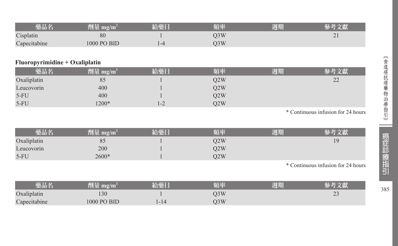| 藥品名          | 心量<br>$\mathbf{m}\mathbf{g}/\mathbf{m}$ | 給藥日 | 頃卒  | 週期 |          |
|--------------|-----------------------------------------|-----|-----|----|----------|
| Cisplatin    | 80                                      |     | )3W |    | $\sim$ 1 |
| Capecitabine | 1000 PO BID                             | 1-4 | O3W |    |          |

#### **Fluoropyrimidine + Oxaliplatin**

| 藥品名         | 劑量 mg/m <sup>2</sup> | 給藥日     | 頻率  | 週期 |                                           |
|-------------|----------------------|---------|-----|----|-------------------------------------------|
| Oxaliplatin | 85                   |         | O2W |    | $\mathcal{D}$<br>$\overline{\phantom{m}}$ |
| Leucovorin  | 400                  |         | O2W |    |                                           |
| $5-FU$      | 400                  |         | O2W |    |                                           |
| $5-FU$      | $1200*$              | $1 - 2$ | O2W |    |                                           |

\* Continuous infusion for 24 hours

| 樂品名         | 劑量 mg/m <sup>?</sup> | 頻率  | 週期 |                                        |
|-------------|----------------------|-----|----|----------------------------------------|
| Oxaliplatin | 85                   | O2W |    | ١g                                     |
| Leucovorin  | 200                  | O2W |    |                                        |
| $5-FU$      | 2600*                | O2W |    |                                        |
|             |                      |     |    | $\ast$ Continuous inferious for 24 kom |

\* Continuous infusion for 24 hours

| 藥品名          | mg/m        | 給藥日 | 頻率  | 週期 |              |
|--------------|-------------|-----|-----|----|--------------|
| Oxaliplatin  | 130         |     | 93W |    | $\sim$<br>-- |
| Capecitabine | 1000 PO BID |     | J3W |    |              |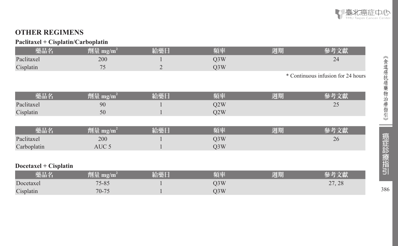

# **OTHER REGIMENS**

#### **Paclitaxel + Cisplatin/Carboplatin**

| 藥品名                   | 劑量 mg/m <sup>2</sup> | 給藥日            | 頻率               | 週期 | 參考文獻                               |
|-----------------------|----------------------|----------------|------------------|----|------------------------------------|
| Paclitaxel            | 200                  |                | Q3W              |    | 24                                 |
| Cisplatin             | 75                   | $\overline{2}$ | Q3W              |    |                                    |
|                       |                      |                |                  |    | * Continuous infusion for 24 hours |
|                       |                      |                |                  |    |                                    |
| 藥品名                   | 劑量 mg/m <sup>2</sup> | 給藥日            | 頻率               | 週期 | 參考文獻                               |
| Paclitaxel            | 90                   |                | Q <sub>2</sub> W |    | 25                                 |
| Cisplatin             | 50                   |                | Q <sub>2</sub> W |    |                                    |
|                       |                      |                |                  |    |                                    |
| 藥品名                   | 劑量 mg/m <sup>2</sup> | 給藥日            | 頻率               | 週期 | 參考文獻                               |
| Paclitaxel            | 200                  |                | Q3W              |    | 26                                 |
| Carboplatin           | AUC <sub>5</sub>     |                | Q3W              |    |                                    |
|                       |                      |                |                  |    |                                    |
| Docetaxel + Cisplatin |                      |                |                  |    |                                    |
| 藥品名                   | 劑量 $mg/m^2$          | 給藥日            | 頻率               | 週期 | 參考文獻                               |
| Docetaxel             | 75-85                |                | Q3W              |    | 27, 28                             |
| Cisplatin             | $70 - 75$            |                | Q3W              |    |                                    |

《食道癌抗癌藥物治療指引》 <<br>食道癌抗癌藥物治療指引》 | 癌症記》 | 语117 386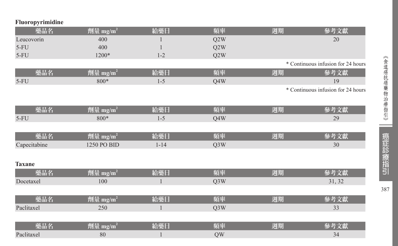| Fluoropyrimidine |  |  |
|------------------|--|--|
|                  |  |  |

| 藥品名           | 劑量 mg/m <sup>2</sup>              | 給藥日      | 頻率               | 週期 | 參考文獻                               |
|---------------|-----------------------------------|----------|------------------|----|------------------------------------|
| Leucovorin    | 400                               |          | Q2W              |    | 20                                 |
| $5-FU$        | 400                               |          | Q2W              |    |                                    |
| $5-FU$        | 1200*                             | $1 - 2$  | Q2W              |    |                                    |
|               |                                   |          |                  |    | * Continuous infusion for 24 hours |
| 藥品名           | 劑量 mg/ $\underline{\mathbf{m}^2}$ | 給藥日      | 頻率               | 週期 | 參考文獻                               |
| $5-FU$        | 800*                              | $1 - 5$  | Q4W              |    | 19                                 |
|               |                                   |          |                  |    | * Continuous infusion for 24 hours |
|               |                                   |          |                  |    |                                    |
| 藥品名           | 劑量 mg/m <sup>2</sup>              | 給藥日      | 頻率               | 週期 | 參考文獻                               |
| $5-FU$        | 800*                              | $1 - 5$  | Q4W              |    | 29                                 |
|               |                                   |          |                  |    |                                    |
| 藥品名           | 劑量 mg/m <sup>2</sup>              | 給藥日      | 頻率               | 週期 | 參考文獻                               |
| Capecitabine  | 1250 PO BID                       | $1 - 14$ | Q3W              |    | 30                                 |
|               |                                   |          |                  |    |                                    |
| <b>Taxane</b> |                                   |          |                  |    |                                    |
| 藥品名           | 劑量 mg/m <sup>2</sup>              | 給藥日      | 頻率               | 週期 | 參考文獻                               |
| Docetaxel     | 100                               |          | Q <sub>3</sub> W |    | 31, 32                             |
|               |                                   |          |                  |    |                                    |
| 藥品名           | 劑量 mg/m <sup>2</sup>              | 給藥日      | 頻率               | 週期 | 參考文獻                               |
| Paclitaxel    | 250                               |          | Q3W              |    | 33                                 |
|               |                                   |          |                  |    |                                    |
| 藥品名           | 劑量 mg/m $^2$ $\,$                 | 給藥日      | 頻率               | 週期 | 參考文獻                               |
| Paclitaxel    | 80                                |          | QW               |    | 34                                 |

387

**Contract**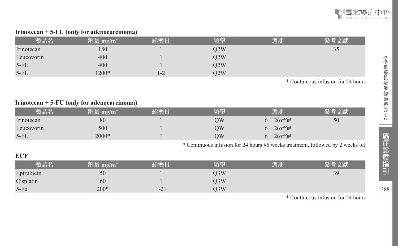

#### **Irinotecan + 5-FU (only for adenocarcinoma)**

| 藥品名        | 劑量 mg/m $^{\rm 2}$ | 給藥日 | 頃率  | 週期 | て聞 |
|------------|--------------------|-----|-----|----|----|
| Irinotecan | 180                |     | Q2W |    | 35 |
| Leucovorin | 400                |     | Q2W |    |    |
| $5-FU$     | 400                |     | Q2W |    |    |
| $5-FU$     | 1200*              | l-2 | O2W |    |    |

\* Continuous infusion for 24 hours

#### **Irinotecan + 5-FU (only for adenocarcinoma)**

| 藥品名        | 劑量 mg/m $^2$ | 給藥日 | 踊座 | 週期             |    |
|------------|--------------|-----|----|----------------|----|
| Irinotecan | 80           |     | ОW | $6 + 2$ (off)# | 50 |
| Leucovorin | 500          |     | OW | $6 + 2$ (off)# |    |
| $5-FU$     | 2000*        |     | OW | $6 + 2$ (off)# |    |

\* Continuous infusion for 24 hours #6 weeks treatment, followed by 2 weeks off

#### **ECF**

| 藥品名        | 劑量 mg/m <sup>2</sup> | 給藥日  | 頻率  | 週期 | 文獻 |
|------------|----------------------|------|-----|----|----|
| Epirubicin | 50                   |      | O3W |    | 39 |
| Cisplatin  | 60                   |      | O3W |    |    |
| $5-Fu$     | $200*$               | 1-21 | O3W |    |    |

\* Continuous infusion for 24 hours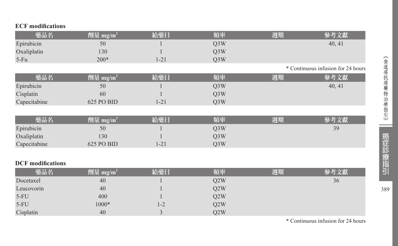| <b>ECF</b> modifications |                      |          |                  |    |                                    |
|--------------------------|----------------------|----------|------------------|----|------------------------------------|
| 藥品名                      | 劑量 mg/m <sup>2</sup> | 給藥日      | 頻率               | 週期 | 參考文獻                               |
| Epirubicin               | 50                   |          | Q3W              |    | 40, 41                             |
| Oxaliplatin              | 130                  |          | Q3W              |    |                                    |
| $5-Fu$                   | $200*$               | $1 - 21$ | Q3W              |    |                                    |
|                          |                      |          |                  |    | * Continuous infusion for 24 hours |
| 藥品名                      | 劑量 mg/m <sup>2</sup> | 給藥日      | 頻率               | 週期 | 參考文獻                               |
| Epirubicin               | 50                   |          | Q3W              |    | 40, 41                             |
| Cisplatin                | 60                   |          | Q <sub>3</sub> W |    |                                    |
| Capecitabine             | 625 PO BID           | $1 - 21$ | Q3W              |    |                                    |
|                          |                      |          |                  |    |                                    |
| 藥品名                      | 劑量 mg/m <sup>2</sup> | 給藥日      | 頻率               | 週期 | 參考文獻                               |
| Epirubicin               | 50                   |          | Q3W              |    | 39                                 |
| Oxaliplatin              | 130                  |          | Q3W              |    |                                    |
| Capecitabine             | 625 PO BID           | $1 - 21$ | Q3W              |    |                                    |
|                          |                      |          |                  |    |                                    |
| <b>DCF</b> modifications |                      |          |                  |    |                                    |
| 藥品名                      | 劑量 mg/m <sup>2</sup> | 給藥日      | 頻率               | 週期 | 參考文獻                               |
| Docetaxel                | 40                   |          | Q <sub>2</sub> W |    | 36                                 |
| Leucovorin               | 40                   |          | Q <sub>2</sub> W |    |                                    |
| $5-FU$                   | 400                  |          | Q2W              |    |                                    |
| $5-FU$                   | $1000*$              | $1 - 2$  | Q2W              |    |                                    |
| Cisplatin                | 40                   | 3        | Q2W              |    |                                    |

\* Continuous infusion for 24 hours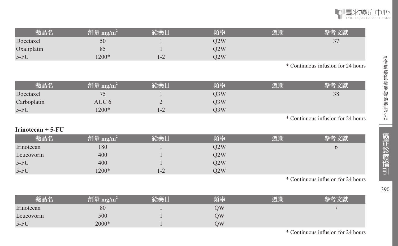

| 藥品名         | 劑量 mg/m′ | 給藥Ⅰ | 頻率  | 週期 | 乂縣                       |
|-------------|----------|-----|-----|----|--------------------------|
| Docetaxel   | 50       |     | O2W |    | $\overline{\phantom{0}}$ |
| Oxaliplatin | 85       |     | O2W |    |                          |
| $5-FU$      | $1200*$  |     | 02W |    |                          |
|             |          |     |     |    |                          |

\* Continuous infusion for 24 hours

| 藥品名         | 劑量 mg/m $^2$ | 給藥日           | 頻率  | 週期 | 參考文獻 |
|-------------|--------------|---------------|-----|----|------|
| Docetaxel   |              |               | O3W |    | 38   |
| Carboplatin | AUC 6        | ∸             | O3W |    |      |
| $5-FU$      | $1200*$      | $\sim$<br>1-4 | O3W |    |      |

\* Continuous infusion for 24 hours

#### **Irinotecan + 5-FU**

| 藥品名        | 劑量 mg/m $^2$ | 经继日               | 頻率  | 週期 | 參考文獻 |
|------------|--------------|-------------------|-----|----|------|
| Irinotecan | 180          |                   | O2W |    |      |
| Leucovorin | 400          |                   | O2W |    |      |
| $5-FU$     | 400          |                   | O2W |    |      |
| $5-FU$     | $1200*$      | $\sim$<br>$1 - 2$ | O2W |    |      |

\* Continuous infusion for 24 hours

| 樂品         | 剛量<br>mg/m | 給藥日 | 頻率 | 周期 |  |
|------------|------------|-----|----|----|--|
| Irinotecan | 80         |     | ОW |    |  |
| Leucovorin | 500        |     | ЭW |    |  |
| $5-FU$     | 2000*      |     | ЭW |    |  |

《食道癌抗癌藥物治療指引》 | 癌症 診療指引 | 90 癌症診療指引

390

《食道癌抗癌藥物治療指引》

\* Continuous infusion for 24 hours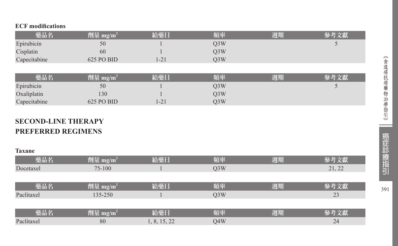#### **ECF modifications**

| 藥品名          | 劑量 mg/m <sup>2</sup> | 給藥日      | 頻率               | 週期 | 參考文獻 |
|--------------|----------------------|----------|------------------|----|------|
| Epirubicin   | 50                   |          | Q <sub>3</sub> W |    | w    |
| Cisplatin    | 60                   |          | Q3W              |    |      |
| Capecitabine | 625 PO BID           | $1 - 21$ | Q <sub>3</sub> W |    |      |
|              |                      |          |                  |    |      |
| 藥品名          | 劑量 mg/m <sup>2</sup> | 給藥日      | 頻率               | 週期 | 參考文獻 |
| Epirubicin   | 50                   |          | Q <sub>3</sub> W |    |      |
| Oxaliplatin  | 130                  |          | Q <sub>3</sub> W |    |      |
| Capecitabine | 625 PO BID           | 1-21     | Q <sub>3</sub> W |    |      |

# **SECOND-LINE THERAPY PREFERRED REGIMENS**

#### **Taxane**

| 藥品名        | 劑量 mg/m <sup>2</sup> | 給藥日          | 頻率               | 週期 | 參考文獻   |
|------------|----------------------|--------------|------------------|----|--------|
| Docetaxel  | 75-100               |              | Q <sub>3</sub> W |    | 21, 22 |
|            |                      |              |                  |    |        |
| 藥品名        | 劑量 mg/m <sup>2</sup> | 給藥日          | 頻率               | 週期 | 參考文獻   |
| Paclitaxel | 135-250              |              | Q <sub>3</sub> W |    | 23     |
|            |                      |              |                  |    |        |
| 藥品名        | 劑量 mg/m <sup>2</sup> | 給藥日          | 頻率               | 週期 | 參考文獻   |
| Paclitaxel | 80                   | 1, 8, 15, 22 | Q4W              |    | 24     |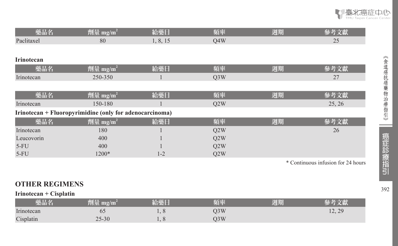

| 藥品名               | 劑量 mg/m <sup>2</sup>                                    | 給藥日      | 頻率               | 週期 | 參考文獻                               |
|-------------------|---------------------------------------------------------|----------|------------------|----|------------------------------------|
| Paclitaxel        | 80                                                      | 1, 8, 15 | O4W              |    | 25                                 |
|                   |                                                         |          |                  |    |                                    |
| <b>Irinotecan</b> |                                                         |          |                  |    |                                    |
| 藥品名               | 劑量 mg/m <sup>2</sup>                                    | 給藥日      | 頻率               | 週期 | 參考文獻                               |
| Irinotecan        | 250-350                                                 |          | O <sub>3</sub> W |    | 27                                 |
|                   |                                                         |          |                  |    |                                    |
| 藥品名               | 劑量 mg/m <sup>2</sup>                                    | 給藥日      | 頻率               | 週期 | 參考文獻                               |
| Irinotecan        | 150-180                                                 |          | Q2W              |    | 25, 26                             |
|                   | Irinotecan + Fluoropyrimidine (only for adenocarcinoma) |          |                  |    |                                    |
| 藥品名               | 劑量 mg/m <sup>2</sup>                                    | 給藥日      | 頻率               | 週期 | 參考文獻                               |
| Irinotecan        | 180                                                     |          | Q2W              |    | 26                                 |
| Leucovorin        | 400                                                     |          | Q2W              |    |                                    |
| $5-FU$            | 400                                                     |          | Q2W              |    |                                    |
| $5-FU$            | 1200*                                                   | $1 - 2$  | Q2W              |    |                                    |
|                   |                                                         |          |                  |    | * Continuous infusion for 24 hours |

《食道癌抗癌藥物治療指引》

## **OTHER REGIMENS**

**Irinotecan + Cisplatin** 

| 樂品名        | [1] 量 【<br>mg/m |                          | 頊率  | 週期 |                                          |
|------------|-----------------|--------------------------|-----|----|------------------------------------------|
| Irinotecan | 62              | $\overline{\phantom{a}}$ | Q3W |    | 2 <sub>q</sub><br>$\sqrt{2}$<br>1/2, 4/2 |
| Cisplatin  | $25 - 30$       |                          | )3W |    |                                          |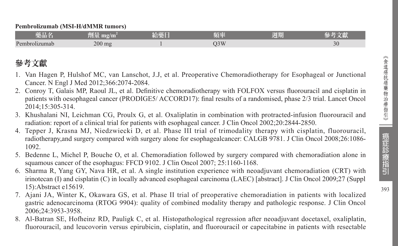| 藥品名           | भा∎≟<br>mg/m<br>判正 | AN F<br>给继<br>ロボー | 自然  | 週期 |                |
|---------------|--------------------|-------------------|-----|----|----------------|
| Pembrolizumab | $200$ mg           |                   | )3W |    | $\gamma$<br>3U |

# 參考文獻

- 1. Van Hagen P, Hulshof MC, van Lanschot, J.J, et al. Preoperative Chemoradiotherapy for Esophageal or Junctional Cancer. N Engl J Med 2012;366:2074-2084.
- 2. Conroy T, Galais MP, Raoul JL, et al. Definitive chemoradiotherapy with FOLFOX versus fluorouracil and cisplatin in patients with oesophageal cancer (PRODIGE5/ ACCORD17): final results of a randomised, phase 2/3 trial. Lancet Oncol 2014;15:305-314.
- 3. Khushalani NI, Leichman CG, Proulx G, et al. Oxaliplatin in combination with protracted-infusion fluorouracil and radiation: report of a clinical trial for patients with esophageal cancer. J Clin Oncol 2002;20:2844-2850.
- 4. Tepper J, Krasna MJ, Niedzwiecki D, et al. Phase III trial of trimodality therapy with cisplatin, fluorouracil, radiotherapy,and surgery compared with surgery alone for esophagealcancer: CALGB 9781. J Clin Oncol 2008;26:1086- 1092.
- 5. Bedenne L, Michel P, Bouche O, et al. Chemoradiation followed by surgery compared with chemoradiation alone in squamous cancer of the esophagus: FFCD 9102. J Clin Oncol 2007; 25:1160-1168.
- 6. Sharma R, Yang GY, Nava HR, et al. A single institution experience with neoadjuvant chemoradiation (CRT) with irinotecan (I) and cisplatin (C) in locally advanced esophageal carcinoma (LAEC) [abstract]. J Clin Oncol 2009;27 (Suppl 15):Abstract e15619.
- 7. Ajani JA, Winter K, Okawara GS, et al. Phase II trial of preoperative chemoradiation in patients with localized gastric adenocarcinoma (RTOG 9904): quality of combined modality therapy and pathologic response. J Clin Oncol 2006;24:3953-3958.
- 8. Al-Batran SE, Hofheinz RD, Pauligk C, et al. Histopathological regression after neoadjuvant docetaxel, oxaliplatin, fluorouracil, and leucovorin versus epirubicin, cisplatin, and fluorouracil or capecitabine in patients with resectable

癌症診療指引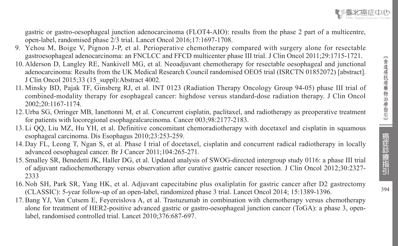gastric or gastro-oesophageal junction adenocarcinoma (FLOT4-AIO): results from the phase 2 part of a multicentre, open-label, randomised phase 2/3 trial. Lancet Oncol 2016;17:1697-1708.

- 9. Ychou M, Boige V, Pignon J-P, et al. Perioperative chemotherapy compared with surgery alone for resectable gastroesophageal adenocarcinoma: an FNCLCC and FFCD multicenter phase III trial. J Clin Oncol 2011;29:1715-1721.
- 10. Alderson D, Langley RE, Nankivell MG, et al. Neoadjuvant chemotherapy for resectable oesophageal and junctional adenocarcinoma: Results from the UK Medical Research Council randomised OEO5 trial (ISRCTN 01852072) [abstract]. J Clin Oncol 2015;33 (15\_suppl):Abstract 4002.
- 11. Minsky BD, Pajak TF, Ginsberg RJ, et al. INT 0123 (Radiation Therapy Oncology Group 94-05) phase III trial of combined-modality therapy for esophageal cancer: highdose versus standard-dose radiation therapy. J Clin Oncol 2002;20:1167-1174.
- 12. Urba SG, Orringer MB, Ianettonni M, et al. Concurrent cisplatin, paclitaxel, and radiotherapy as preoperative treatment for patients with locoregional esophagealcarcinoma. Cancer 003;98:2177-2183.
- 13. Li QQ, Liu MZ, Hu YH, et al. Definitive concomitant chemoradiotherapy with docetaxel and cisplatin in squamous esophageal carcinoma. Dis Esophagus 2010;23:253-259.
- 14. Day FL, Leong T, Ngan S, et al. Phase I trial of docetaxel, cisplatin and concurrent radical radiotherapy in locally advanced oesophageal cancer. Br J Cancer 2011;104:265-271.
- 15. Smalley SR, Benedetti JK, Haller DG, et al. Updated analysis of SWOG-directed intergroup study 0116: a phase III trial of adjuvant radiochemotherapy versus observation after curative gastric cancer resection. J Clin Oncol 2012;30:2327- 2333
- 16. Noh SH, Park SR, Yang HK, et al. Adjuvant capecitabine plus oxaliplatin for gastric cancer after D2 gastrectomy (CLASSIC): 5-year follow-up of an open-label, randomized phase 3 trial. Lancet Oncol 2014; 15:1389-1396.
- 17.Bang YJ, Van Cutsem E, Feyereislova A, et al. Trastuzumab in combination with chemotherapy versus chemotherapy alone for treatment of HER2-positive advanced gastric or gastro-oesophageal junction cancer (ToGA): a phase 3, openlabel, randomised controlled trial. Lancet 2010;376:687-697.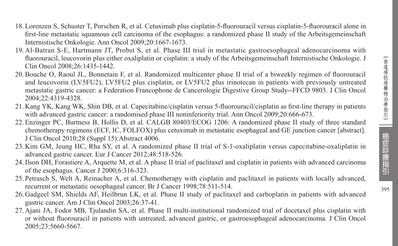- 18. Lorenzen S, Schuster T, Porschen R, et al. Cetuximab plus cisplatin-5-fluorouracil versus cisplatin-5-fluorouracil alone in first-line metastatic squamous cell carcinoma of the esophagus: a randomized phase II study of the Arbeitsgemeinschaft Internistische Onkologie. Ann Oncol 2009;20:1667-1673.
- 19. Al-Batran S-E, Hartmann JT, Probst S, et al. Phase III trial in metastatic gastroesophageal adenocarcinoma with fluorouracil, leucovorin plus either oxaliplatin or cisplatin: a study of the Arbeitsgemeinschaft Internistische Onkologie. J Clin Oncol 2008;26:1435-1442.
- 20.Bouche O, Raoul JL, Bonnetain F, et al. Randomized multicenter phase II trial of a biweekly regimen of fluorouracil and leucovorin (LV5FU2), LV5FU2 plus cisplatin, or LV5FU2 plus irinotecan in patients with previously untreated metastatic gastric cancer: a Federation Francophone de Cancerologie Digestive Group Study--FFCD 9803. J Clin Oncol 2004;22:4319-4328.
- 21. Kang YK, Kang WK, Shin DB, et al. Capecitabine/cisplatin versus 5-fluorouracil/cisplatin as first-line therapy in patients with advanced gastric cancer: a randomised phase III noninferiority trial. Ann Oncol 2009;20:666-673.
- 22. Enzinger PC, Burtness B, Hollis D, et al. CALGB 80403/ECOG 1206: A randomized phase II study of three standard chemotherapy regimens (ECF, IC, FOLFOX) plus cetuximab in metastatic esophageal and GE junction cancer [abstract]. J Clin Oncol 2010;28 (Suppl 15):Abstract 4006.
- 23. Kim GM, Jeung HC, Rha SY, et al. A randomized phase II trial of S-1-oxaliplatin versus capecitabine-oxaliplatin in advanced gastric cancer. Eur J Cancer 2012;48:518-526.
- 24.Ilson DH, Forastiere A, Arquette M, et al. A phase II trial of paclitaxel and cisplatin in patients with advanced carcinoma of the esophagus. Cancer J 2000;6:316-323.
- 25. Petrasch S, Welt A, Reinacher A, et al. Chemotherapy with cisplatin and paclitaxel in patients with locally advanced, recurrent or metastatic oesophageal cancer. Br J Cancer 1998;78:511-514.
- 26. Gadgeel SM, Shields AF, Heilbrun LK, et al. Phase II study of paclitaxel and carboplatin in patients with advanced gastric cancer. Am J Clin Oncol 2003;26:37-41.
- 27. Ajani JA, Fodor MB, Tjulandin SA, et al. Phase II multi-institutional randomized trial of docetaxel plus cisplatin with or without fluorouracil in patients with untreated, advanced gastric, or gastroesophageal adenocarcinoma. J Clin Oncol 2005;23:5660-5667.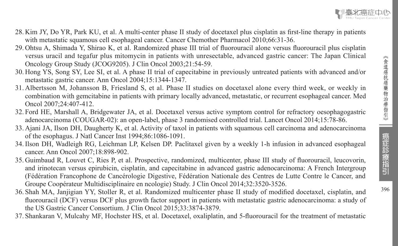- 28. Kim JY, Do YR, Park KU, et al. A multi-center phase II study of docetaxel plus cisplatin as first-line therapy in patients with metastatic squamous cell esophageal cancer. Cancer Chemother Pharmacol 2010;66:31-36.
- 29. Ohtsu A, Shimada Y, Shirao K, et al. Randomized phase III trial of fluorouracil alone versus fluorouracil plus cisplatin versus uracil and tegafur plus mitomycin in patients with unresectable, advanced gastric cancer: The Japan Clinical Oncology Group Study (JCOG9205). J Clin Oncol 2003;21:54-59.
- 30. Hong YS, Song SY, Lee SI, et al. A phase II trial of capecitabine in previously untreated patients with advanced and/or metastatic gastric cancer. Ann Oncol 2004;15:1344-1347.
- 31. Albertsson M, Johansson B, Friesland S, et al. Phase II studies on docetaxel alone every third week, or weekly in combination with gemcitabine in patients with primary locally advanced, metastatic, or recurrent esophageal cancer. Med Oncol 2007;24:407-412.
- 32. Ford HE, Marshall A, Bridgewater JA, et al. Docetaxel versus active symptom control for refractory oesophagogastric adenocarcinoma (COUGAR-02): an open-label, phase 3 randomised controlled trial. Lancet Oncol 2014;15:78-86.
- 33. Ajani JA, Ilson DH, Daugherty K, et al. Activity of taxol in patients with squamous cell carcinoma and adenocarcinoma of the esophagus. J Natl Cancer Inst 1994;86:1086-1091.
- 34.Ilson DH, Wadleigh RG, Leichman LP, Kelsen DP. Paclitaxel given by a weekly 1-h infusion in advanced esophageal cancer. Ann Oncol 2007;18:898-902.
- 35. Guimbaud R, Louvet C, Ries P, et al. Prospective, randomized, multicenter, phase III study of fluorouracil, leucovorin, and irinotecan versus epirubicin, cisplatin, and capecitabine in advanced gastric adenocarcinoma: A French Intergroup (Fédération Francophone de Cancérologie Digestive, Fédération Nationale des Centres de Lutte Contre le Cancer, and Groupe Coopérateur Multidisciplinaire en ncologie) Study. J Clin Oncol 2014;32:3520-3526.
- 36. Shah MA, Janjigian YY, Stoller R, et al. Randomized multicenter phase II study of modified docetaxel, cisplatin, and fluorouracil (DCF) versus DCF plus growth factor support in patients with metastatic gastric adenocarcinoma: a study of the US Gastric Cancer Consortium. J Clin Oncol 2015;33:3874-3879.
- 37. Shankaran V, Mulcahy MF, Hochster HS, et al. Docetaxel, oxaliplatin, and 5-fluorouracil for the treatment of metastatic

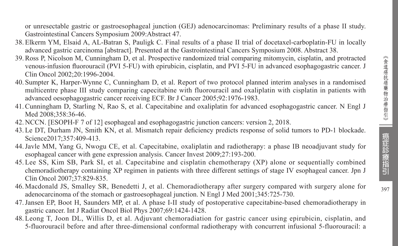397

or unresectable gastric or gastroesophageal junction (GEJ) adenocarcinomas: Preliminary results of a phase II study. Gastrointestinal Cancers Symposium 2009:Abstract 47.

- 38. Elkerm YM, Elsaid A, AL-Batran S, Pauligk C. Final results of a phase II trial of docetaxel-carboplatin-FU in locally advanced gastric carcinoma [abstract]. Presented at the Gastrointestinal Cancers Symposium 2008. Abstract 38.
- 39.Ross P, Nicolson M, Cunningham D, et al. Prospective randomized trial comparing mitomycin, cisplatin, and protracted venous-infusion fluorouracil (PVI 5-FU) with epirubicin, cisplatin, and PVI 5-FU in advanced esophagogastric cancer. J Clin Oncol 2002;20:1996-2004.
- 40. Sumpter K, Harper-Wynne C, Cunningham D, et al. Report of two protocol planned interim analyses in a randomised multicentre phase III study comparing capecitabine with fluorouracil and oxaliplatin with cisplatin in patients with advanced oesophagogastric cancer receiving ECF. Br J Cancer 2005;92:1976-1983.
- 41.Cunningham D, Starling N, Rao S, et al. Capecitabine and oxaliplatin for advanced esophagogastric cancer. N Engl J Med 2008:358:36-46.
- 42. NCCN. [ESOPH-F 7 of 12] esophageal and esophagogastric junction cancers: version 2, 2018.
- 43. Le DT, Durham JN, Smith KN, et al. Mismatch repair deficiency predicts response of solid tumors to PD-1 blockade. Science2017:357:409-413.
- 44.Javle MM, Yang G, Nwogu CE, et al. Capecitabine, oxaliplatin and radiotherapy: a phase IB neoadjuvant study for esophageal cancer with gene expression analysis. Cancer Invest 2009;27:193-200.
- 45. Lee SS, Kim SB, Park SI, et al. Capecitabine and cisplatin chemotherapy (XP) alone or sequentially combined chemoradiotherapy containing XP regimen in patients with three different settings of stage IV esophageal cancer. Jpn J Clin Oncol 2007;37:829-835.
- 46. Macdonald JS, Smalley SR, Benedetti J, et al. Chemoradiotherapy after surgery compared with surgery alone for adenocarcinoma of the stomach or gastroesophageal junction. N Engl J Med 2001;345:725-730.
- 47.Jansen EP, Boot H, Saunders MP, et al. A phase I-II study of postoperative capecitabine-based chemoradiotherapy in gastric cancer. Int J Radiat Oncol Biol Phys 2007;69:1424-1428.
- 48. Leong T, Joon DL, Willis D, et al. Adjuvant chemoradiation for gastric cancer using epirubicin, cisplatin, and 5-fluorouracil before and after three-dimensional conformal radiotherapy with concurrent infusional 5-fluorouracil: a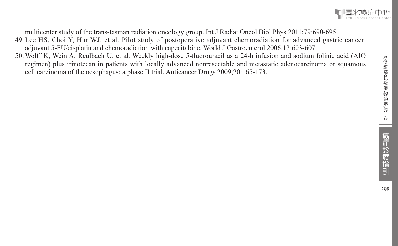

multicenter study of the trans-tasman radiation oncology group. Int J Radiat Oncol Biol Phys 2011;79:690-695.

- 49. Lee HS, Choi Y, Hur WJ, et al. Pilot study of postoperative adjuvant chemoradiation for advanced gastric cancer: adjuvant 5-FU/cisplatin and chemoradiation with capecitabine. World J Gastroenterol 2006;12:603-607.
- 50.Wolff K, Wein A, Reulbach U, et al. Weekly high-dose 5-fluorouracil as a 24-h infusion and sodium folinic acid (AIO regimen) plus irinotecan in patients with locally advanced nonresectable and metastatic adenocarcinoma or squamous cell carcinoma of the oesophagus: a phase II trial. Anticancer Drugs 2009;20:165-173.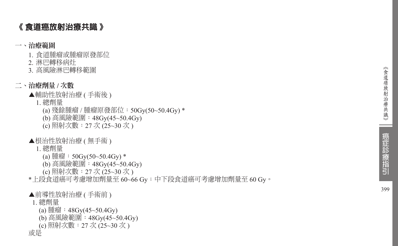# 《 食道癌放射治療共識 》

### 一、治療範圍

- 1. 食道腫瘤或腫瘤原發部位
- 2. 淋巴轉移病灶
- 3. 高風險淋巴轉移範圍

## 二、治療劑量 **/** 次數

- ▲輔助性放射治療 ( 手術後 )
	- 1. 總劑量
		- (a) 殘餘腫瘤 / 腫瘤原發部位:50Gy(50~50.4Gy) \*
		- (b) 高風險範圍:48Gy(45~50.4Gy)
		- (c) 照射次數:27 次 (25~30 次 )
- ▲根治性放射治療 ( 無手術 )
	- 1. 總劑量
		- (a) 腫瘤: 50Gy(50~50.4Gy)  $*$
		- (b) 高風險範圍:48Gy(45~50.4Gy)
		- (c) 照射次數:27 次 (25~30 次 )

\* 上段食道癌可考慮增加劑量至 60~66 Gy;中下段食道癌可考慮增加劑量至 60 Gy 。

- ▲前導性放射治療 ( 手術前 )
- 1. 總劑量
	- (a) 腫瘤:  $48Gy(45~50.4Gy)$
	- (b) 高風險範圍:48Gy(45~50.4Gy)
	- (c) 照射次數:27 次 (25~30 次 )

或是